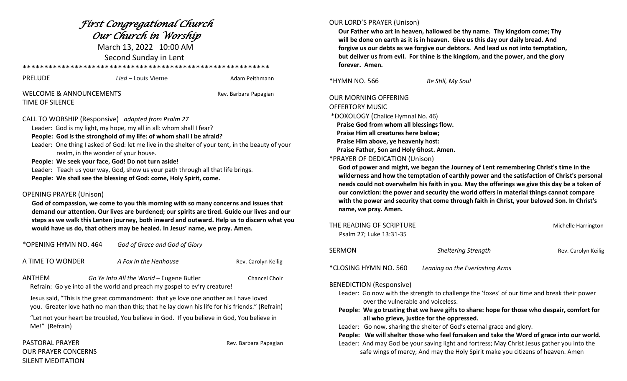## *First Congregational Church Our Church in Worship*

March 13, 2022 10:00 AM Second Sunday in Lent

## \*\*\*\*\*\*\*\*\*\*\*\*\*\*\*\*\*\*\*\*\*\*\*\*\*\*\*\*\*\*\*\*\*\*\*\*\*\*\*\*\*\*\*\*\*\*\*\*\*\*\*\*\*\*\*\*\*

| PRELUDE                            | Lied – Louis Vierne | Adam Peithmann        |
|------------------------------------|---------------------|-----------------------|
| <b>WELCOME &amp; ANNOUNCEMENTS</b> |                     | Rev. Barbara Papagian |

TIME OF SILENCE

TS **Example 3** Annual Contract Rev. Barbara Papagian

#### CALL TO WORSHIP (Responsive) *adapted from Psalm 27*

Leader: God is my light, my hope, my all in all: whom shall I fear?

#### **People: God is the stronghold of my life: of whom shall I be afraid?**

 Leader: One thing I asked of God: let me live in the shelter of your tent, in the beauty of your realm, in the wonder of your house.

#### **People: We seek your face, God! Do not turn aside!**

 Leader: Teach us your way, God, show us your path through all that life brings.  **People: We shall see the blessing of God: come, Holy Spirit, come.**

## OPENING PRAYER (Unison)

 **God of compassion, we come to you this morning with so many concerns and issues that demand our attention. Our lives are burdened; our spirits are tired. Guide our lives and our steps as we walk this Lenten journey, both inward and outward. Help us to discern what you would have us do, that others may be healed. In Jesus' name, we pray. Amen.**

\*OPENING HYMN NO. 464 *God of Grace and God of Glory*

A TIME TO WONDER *A Fox in the Henhouse* Rev. Carolyn Keilig

| ANTHEM | Go Ye Into All the World - Eugene Butler                                  | <b>Chancel Choir</b> |
|--------|---------------------------------------------------------------------------|----------------------|
|        | Refrain: Go ye into all the world and preach my gospel to ev'ry creature! |                      |

 Jesus said, "This is the great commandment: that ye love one another as I have loved you. Greater love hath no man than this; that he lay down his life for his friends." (Refrain)

 "Let not your heart be troubled, You believe in God. If you believe in God, You believe in Me!" (Refrain)

## PASTORAL PRAYER **Rev. Barbara Papagian** OUR PRAYER CONCERNS SILENT MEDITATION

## OUR LORD'S PRAYER (Unison)

 **Our Father who art in heaven, hallowed be thy name. Thy kingdom come; Thy will be done on earth as it is in heaven. Give us this day our daily bread. And forgive us our debts as we forgive our debtors. And lead us not into temptation, but deliver us from evil. For thine is the kingdom, and the power, and the glory forever. Amen.**

\*HYMN NO. 566 *Be Still, My Soul*

## OUR MORNING OFFERING OFFERTORY MUSIC \*DOXOLOGY (Chalice Hymnal No. 46)

 **Praise God from whom all blessings flow. Praise Him all creatures here below; Praise Him above, ye heavenly host: Praise Father, Son and Holy Ghost. Amen.** 

## \*PRAYER OF DEDICATION (Unison)

 **God of power and might, we began the Journey of Lent remembering Christ's time in the wilderness and how the temptation of earthly power and the satisfaction of Christ's personal needs could not overwhelm his faith in you. May the offerings we give this day be a token of our conviction: the power and security the world offers in material things cannot compare with the power and security that come through faith in Christ, your beloved Son. In Christ's name, we pray. Amen.**

| THE READING OF SCRIPTURE<br>Psalm 27; Luke 13:31-35 |                            | Michelle Harrington |
|-----------------------------------------------------|----------------------------|---------------------|
| SERMON                                              | <b>Sheltering Strength</b> | Rev. Carolyn Keilig |

\*CLOSING HYMN NO. 560 *Leaning on the Everlasting Arms*

BENEDICTION (Responsive)

- Leader: Go now with the strength to challenge the 'foxes' of our time and break their power over the vulnerable and voiceless.
- **People: We go trusting that we have gifts to share: hope for those who despair, comfort for all who grieve, justice for the oppressed.**
- Leader: Go now, sharing the shelter of God's eternal grace and glory.

 **People: We will shelter those who feel forsaken and take the Word of grace into our world.** Leader: And may God be your saving light and fortress; May Christ Jesus gather you into the safe wings of mercy; And may the Holy Spirit make you citizens of heaven. Amen